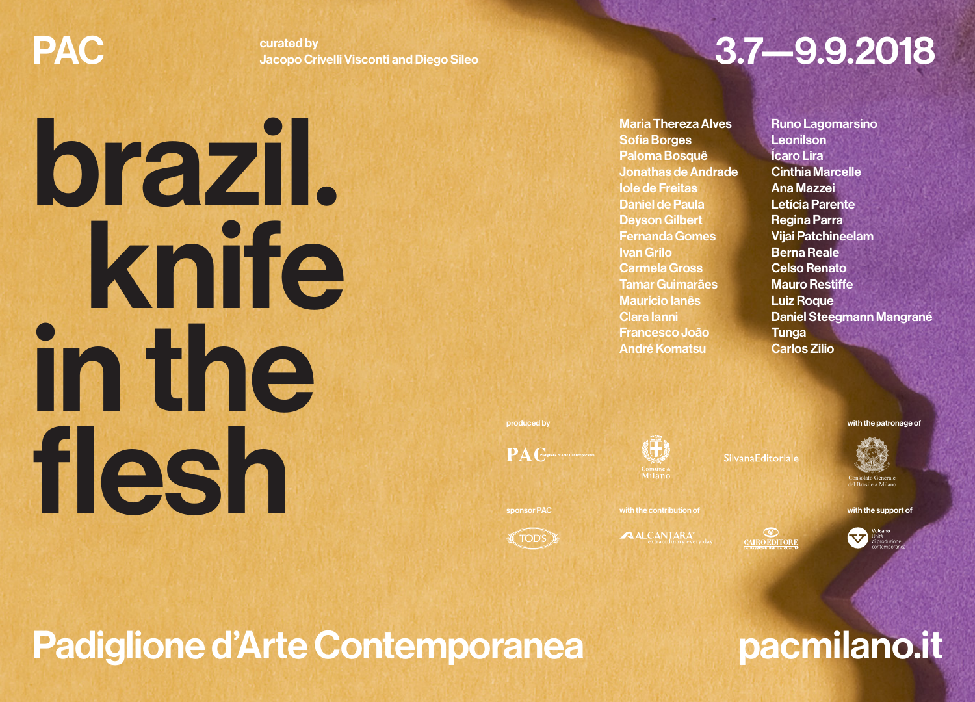brazil.

in the

flesh

 knife

curated by Jacopo Crivelli Visconti and Diego Sileo

# PAC Surated by *Curated by* Surated by **3.7—9.9.2018**

Maria Thereza Alves Sofia Borges Paloma Bosquê Jonathas de Andrade Iole de Freitas Daniel de Paula Deyson Gilbert Fernanda Gomes Ivan Grilo Carmela Gross Tamar Guimarães Maurício Ianês Clara Ianni Francesco João André Komatsu

Runo Lagomarsino Leonilson Ícaro Lira Cinthia Marcelle Ana Mazzei Letícia Parente Regina Parra Vijai Patchineelam Berna Reale Celso Renato Mauro Restiffe Luiz Roque Daniel Steegmann Mangrané **Tunga** Carlos Zilio

produced by with the patronage of PA Chastian d'Arte Consequent

**(TODS)** 

(Ü)

**Comune** a

**ALCANTARA** 

 $\overbrace{C$ **CAIROEDITORE** 

Consolato Generale

del Brasile a Milano

sponsor PAC with the contribution of with the support of with the support of

Vulcand<br>Unità<br>di produ

Padiglione d'Arte Contemporanea **pacmilano.it**